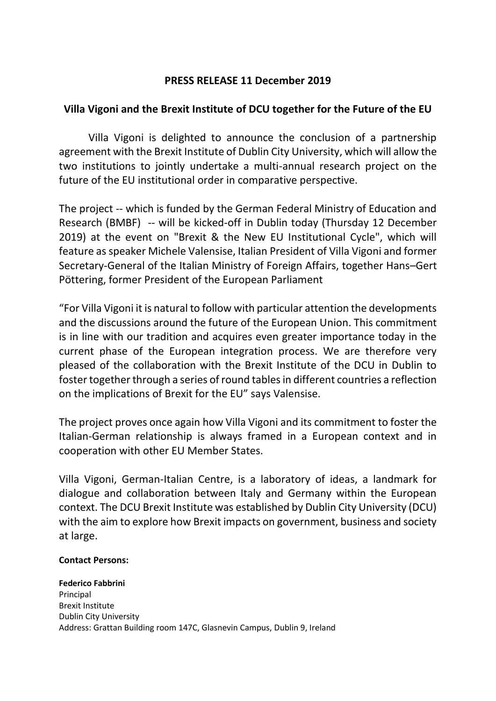## **PRESS RELEASE 11 December 2019**

## **Villa Vigoni and the Brexit Institute of DCU together for the Future of the EU**

Villa Vigoni is delighted to announce the conclusion of a partnership agreement with the Brexit Institute of Dublin City University, which will allow the two institutions to jointly undertake a multi-annual research project on the future of the EU institutional order in comparative perspective.

The project -- which is funded by the German Federal Ministry of Education and Research (BMBF) -- will be kicked-off in Dublin today (Thursday 12 December 2019) at the event on "Brexit & the New EU Institutional Cycle", which will feature as speaker Michele Valensise, Italian President of Villa Vigoni and former Secretary-General of the Italian Ministry of Foreign Affairs, together Hans–Gert Pöttering, former President of the European Parliament

"For Villa Vigoni it is natural to follow with particular attention the developments and the discussions around the future of the European Union. This commitment is in line with our tradition and acquires even greater importance today in the current phase of the European integration process. We are therefore very pleased of the collaboration with the Brexit Institute of the DCU in Dublin to foster together through a series of round tables in different countries a reflection on the implications of Brexit for the EU" says Valensise.

The project proves once again how Villa Vigoni and its commitment to foster the Italian-German relationship is always framed in a European context and in cooperation with other EU Member States.

Villa Vigoni, German-Italian Centre, is a laboratory of ideas, a landmark for dialogue and collaboration between Italy and Germany within the European context. The DCU Brexit Institute was established by Dublin City University (DCU) with the aim to explore how Brexit impacts on government, business and society at large.

## **Contact Persons:**

**Federico Fabbrini** Principal Brexit Institute Dublin City University Address: Grattan Building room 147C, Glasnevin Campus, Dublin 9, Ireland